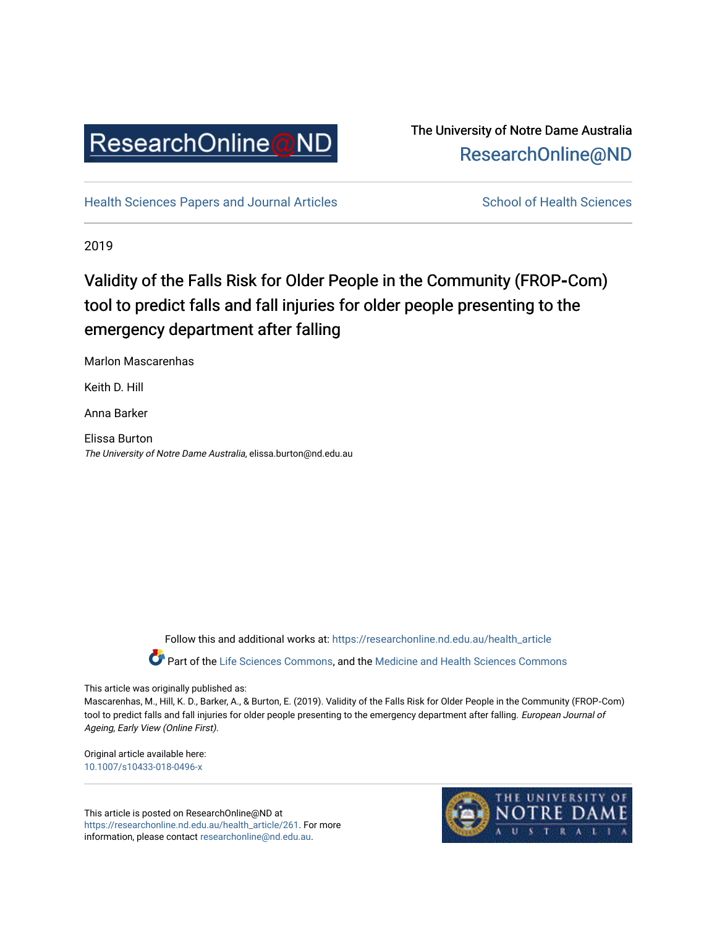

# The University of Notre Dame Australia [ResearchOnline@ND](https://researchonline.nd.edu.au/)

[Health Sciences Papers and Journal Articles](https://researchonline.nd.edu.au/health_article) School of Health Sciences

2019

# Validity of the Falls Risk for Older People in the Community (FROP-Com) tool to predict falls and fall injuries for older people presenting to the emergency department after falling

Marlon Mascarenhas

Keith D. Hill

Anna Barker

Elissa Burton The University of Notre Dame Australia, elissa.burton@nd.edu.au

> Follow this and additional works at: [https://researchonline.nd.edu.au/health\\_article](https://researchonline.nd.edu.au/health_article?utm_source=researchonline.nd.edu.au%2Fhealth_article%2F261&utm_medium=PDF&utm_campaign=PDFCoverPages) Part of the [Life Sciences Commons](http://network.bepress.com/hgg/discipline/1016?utm_source=researchonline.nd.edu.au%2Fhealth_article%2F261&utm_medium=PDF&utm_campaign=PDFCoverPages), and the Medicine and Health Sciences Commons

This article was originally published as:

Mascarenhas, M., Hill, K. D., Barker, A., & Burton, E. (2019). Validity of the Falls Risk for Older People in the Community (FROP‑Com) tool to predict falls and fall injuries for older people presenting to the emergency department after falling. European Journal of Ageing, Early View (Online First).

Original article available here: [10.1007/s10433-018-0496-x](https://doi.org/10.1007/s10433-018-0496-x) 

This article is posted on ResearchOnline@ND at [https://researchonline.nd.edu.au/health\\_article/261](https://researchonline.nd.edu.au/health_article/261). For more information, please contact [researchonline@nd.edu.au.](mailto:researchonline@nd.edu.au)

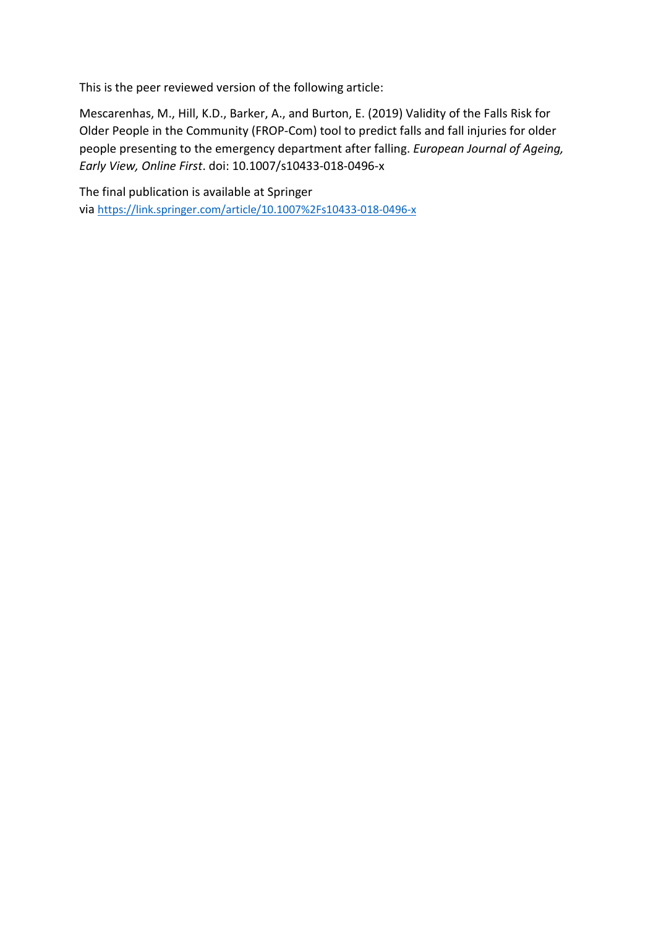This is the peer reviewed version of the following article:

Mescarenhas, M., Hill, K.D., Barker, A., and Burton, E. (2019) Validity of the Falls Risk for Older People in the Community (FROP-Com) tool to predict falls and fall injuries for older people presenting to the emergency department after falling. *European Journal of Ageing, Early View, Online First*. doi: 10.1007/s10433-018-0496-x

The final publication is available at Springer via<https://link.springer.com/article/10.1007%2Fs10433-018-0496-x>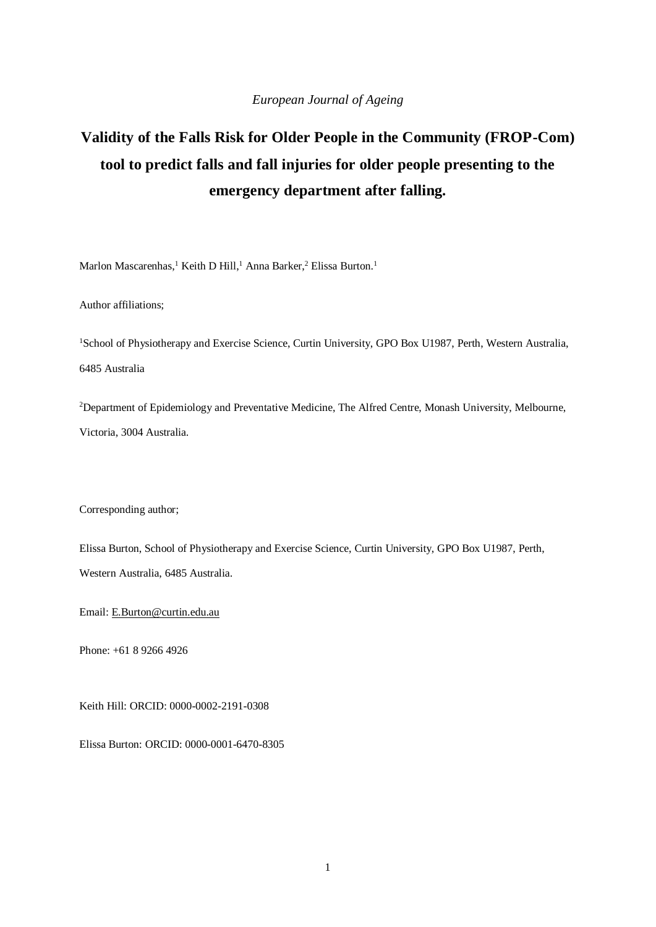# *European Journal of Ageing*

# **Validity of the Falls Risk for Older People in the Community (FROP-Com) tool to predict falls and fall injuries for older people presenting to the emergency department after falling.**

Marlon Mascarenhas,<sup>1</sup> Keith D Hill,<sup>1</sup> Anna Barker,<sup>2</sup> Elissa Burton.<sup>1</sup>

Author affiliations;

<sup>1</sup>School of Physiotherapy and Exercise Science, Curtin University, GPO Box U1987, Perth, Western Australia, 6485 Australia

<sup>2</sup>Department of Epidemiology and Preventative Medicine, The Alfred Centre, Monash University, Melbourne, Victoria, 3004 Australia.

Corresponding author;

Elissa Burton, School of Physiotherapy and Exercise Science, Curtin University, GPO Box U1987, Perth, Western Australia, 6485 Australia.

Email: [E.Burton@curtin.edu.au](mailto:E.Burton@curtin.edu.au)

Phone: +61 8 9266 4926

Keith Hill: ORCID: 0000-0002-2191-0308

Elissa Burton: ORCID: 0000-0001-6470-8305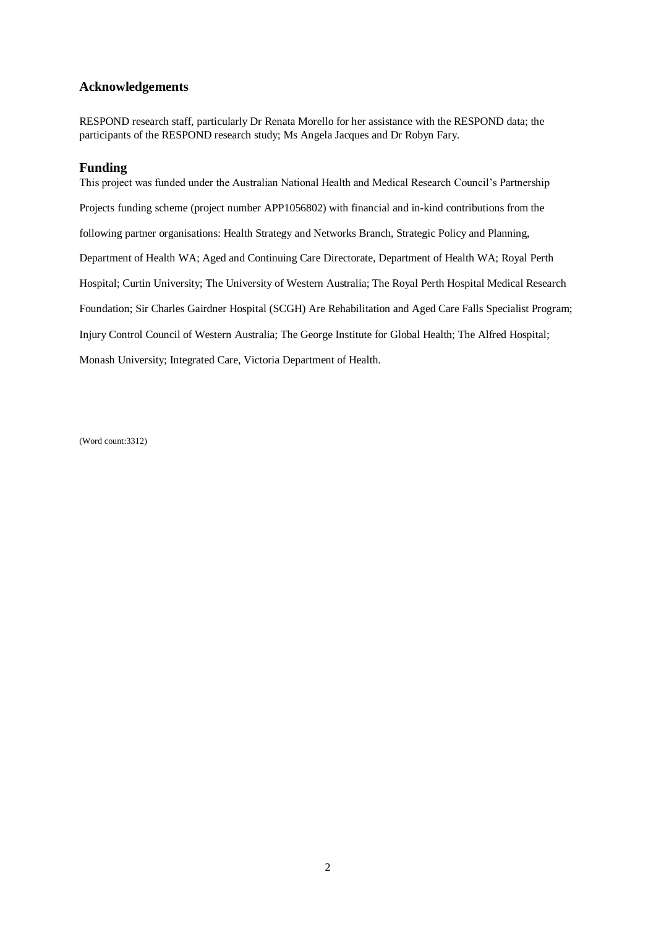# **Acknowledgements**

RESPOND research staff, particularly Dr Renata Morello for her assistance with the RESPOND data; the participants of the RESPOND research study; Ms Angela Jacques and Dr Robyn Fary.

#### **Funding**

This project was funded under the Australian National Health and Medical Research Council's Partnership Projects funding scheme (project number APP1056802) with financial and in-kind contributions from the following partner organisations: Health Strategy and Networks Branch, Strategic Policy and Planning, Department of Health WA; Aged and Continuing Care Directorate, Department of Health WA; Royal Perth Hospital; Curtin University; The University of Western Australia; The Royal Perth Hospital Medical Research Foundation; Sir Charles Gairdner Hospital (SCGH) Are Rehabilitation and Aged Care Falls Specialist Program; Injury Control Council of Western Australia; The George Institute for Global Health; The Alfred Hospital; Monash University; Integrated Care, Victoria Department of Health.

(Word count:3312)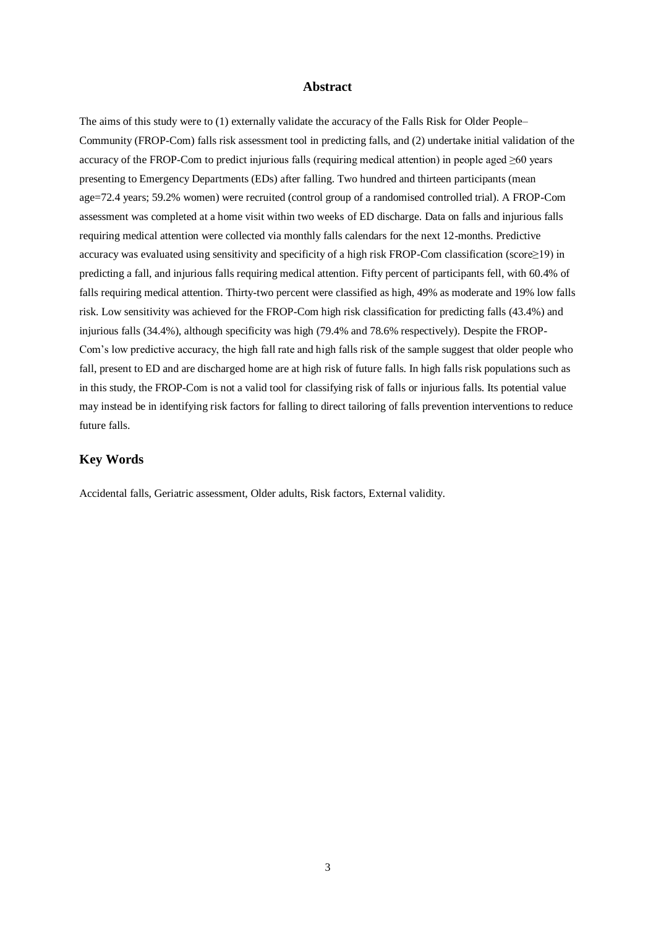#### **Abstract**

The aims of this study were to (1) externally validate the accuracy of the Falls Risk for Older People– Community (FROP-Com) falls risk assessment tool in predicting falls, and (2) undertake initial validation of the accuracy of the FROP-Com to predict injurious falls (requiring medical attention) in people aged  $\geq 60$  years presenting to Emergency Departments (EDs) after falling. Two hundred and thirteen participants (mean age=72.4 years; 59.2% women) were recruited (control group of a randomised controlled trial). A FROP-Com assessment was completed at a home visit within two weeks of ED discharge. Data on falls and injurious falls requiring medical attention were collected via monthly falls calendars for the next 12-months. Predictive accuracy was evaluated using sensitivity and specificity of a high risk FROP-Com classification (score≥19) in predicting a fall, and injurious falls requiring medical attention. Fifty percent of participants fell, with 60.4% of falls requiring medical attention. Thirty-two percent were classified as high, 49% as moderate and 19% low falls risk. Low sensitivity was achieved for the FROP-Com high risk classification for predicting falls (43.4%) and injurious falls (34.4%), although specificity was high (79.4% and 78.6% respectively). Despite the FROP-Com's low predictive accuracy, the high fall rate and high falls risk of the sample suggest that older people who fall, present to ED and are discharged home are at high risk of future falls. In high falls risk populations such as in this study, the FROP-Com is not a valid tool for classifying risk of falls or injurious falls. Its potential value may instead be in identifying risk factors for falling to direct tailoring of falls prevention interventions to reduce future falls.

# **Key Words**

Accidental falls, Geriatric assessment, Older adults, Risk factors, External validity.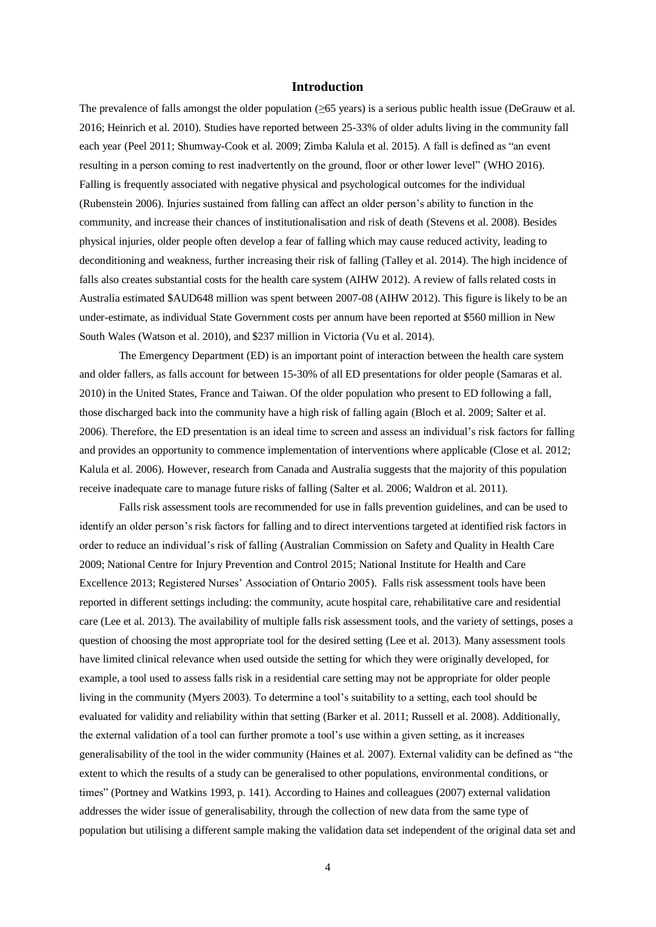#### **Introduction**

The prevalence of falls amongst the older population (≥65 years) is a serious public health issue [\(DeGrauw et al.](#page-13-0)  [2016;](#page-13-0) [Heinrich et al. 2010\)](#page-13-1). Studies have reported between 25-33% of older adults living in the community fall each year [\(Peel 2011;](#page-14-0) [Shumway-Cook et al. 2009;](#page-15-0) [Zimba Kalula et al. 2015\)](#page-16-0). A fall is defined as "an event resulting in a person coming to rest inadvertently on the ground, floor or other lower level" [\(WHO 2016\)](#page-16-1). Falling is frequently associated with negative physical and psychological outcomes for the individual [\(Rubenstein 2006\)](#page-14-1). Injuries sustained from falling can affect an older person's ability to function in the community, and increase their chances of institutionalisation and risk of death [\(Stevens et al. 2008\)](#page-15-1). Besides physical injuries, older people often develop a fear of falling which may cause reduced activity, leading to deconditioning and weakness, further increasing their risk of falling [\(Talley et al. 2014\)](#page-15-2). The high incidence of falls also creates substantial costs for the health care system [\(AIHW 2012\)](#page-13-2). A review of falls related costs in Australia estimated \$AUD648 million was spent between 2007-08 [\(AIHW 2012\)](#page-13-2). This figure is likely to be an under-estimate, as individual State Government costs per annum have been reported at \$560 million in New South Wales [\(Watson et al. 2010\)](#page-15-3), and \$237 million in Victoria [\(Vu et al. 2014\)](#page-15-4).

The Emergency Department (ED) is an important point of interaction between the health care system and older fallers, as falls account for between 15-30% of all ED presentations for older people [\(Samaras et al.](#page-15-5)  [2010\)](#page-15-5) in the United States, France and Taiwan. Of the older population who present to ED following a fall, those discharged back into the community have a high risk of falling again [\(Bloch et al. 2009;](#page-13-3) [Salter et al.](#page-15-6)  [2006\)](#page-15-6). Therefore, the ED presentation is an ideal time to screen and assess an individual's risk factors for falling and provides an opportunity to commence implementation of interventions where applicable [\(Close et al. 2012;](#page-13-4) [Kalula et al. 2006\)](#page-13-5). However, research from Canada and Australia suggests that the majority of this population receive inadequate care to manage future risks of falling [\(Salter et al. 2006;](#page-15-6) [Waldron et al. 2011\)](#page-15-7).

Falls risk assessment tools are recommended for use in falls prevention guidelines, and can be used to identify an older person's risk factors for falling and to direct interventions targeted at identified risk factors in order to reduce an individual's risk of falling [\(Australian Commission on Safety and Quality in Health Care](#page-13-6)  [2009;](#page-13-6) [National Centre for Injury Prevention and Control 2015;](#page-14-2) [National Institute for Health and Care](#page-14-3)  [Excellence 2013;](#page-14-3) [Registered Nurses' Association of Ontario 2005\)](#page-14-4). Falls risk assessment tools have been reported in different settings including: the community, acute hospital care, rehabilitative care and residential care [\(Lee et al. 2013\)](#page-14-5). The availability of multiple falls risk assessment tools, and the variety of settings, poses a question of choosing the most appropriate tool for the desired setting [\(Lee et al. 2013\)](#page-14-5). Many assessment tools have limited clinical relevance when used outside the setting for which they were originally developed, for example, a tool used to assess falls risk in a residential care setting may not be appropriate for older people living in the community [\(Myers 2003\)](#page-14-6). To determine a tool's suitability to a setting, each tool should be evaluated for validity and reliability within that setting [\(Barker et al. 2011;](#page-13-7) [Russell et al. 2008\)](#page-15-8). Additionally, the external validation of a tool can further promote a tool's use within a given setting, as it increases generalisability of the tool in the wider community [\(Haines et al. 2007\)](#page-13-8). External validity can be defined as "the extent to which the results of a study can be generalised to other populations, environmental conditions, or times" [\(Portney and Watkins 1993, p. 141\)](#page-14-7). According to Haines and colleagues [\(2007\)](#page-13-8) external validation addresses the wider issue of generalisability, through the collection of new data from the same type of population but utilising a different sample making the validation data set independent of the original data set and

4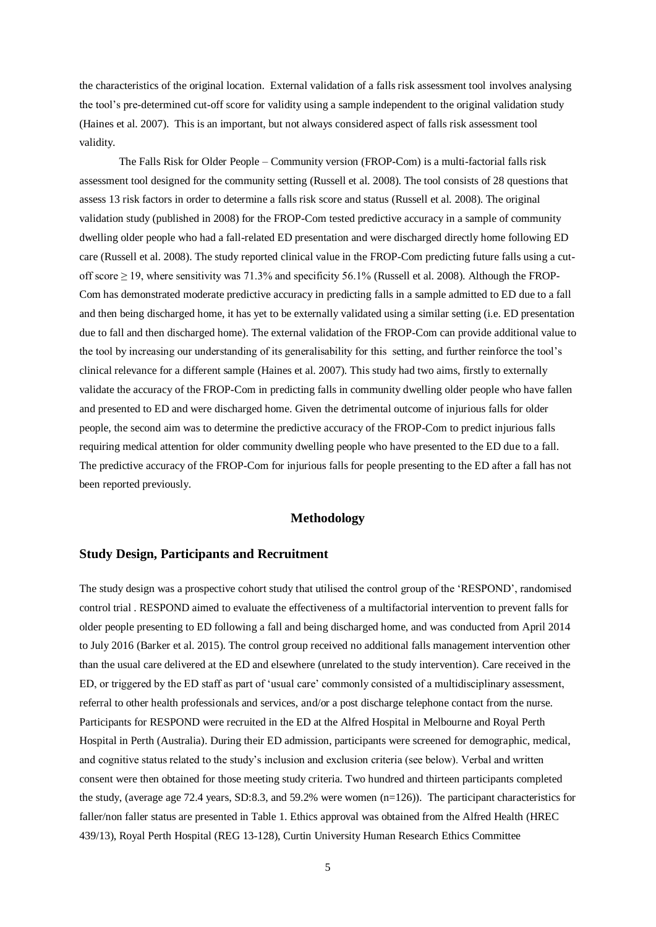the characteristics of the original location. External validation of a falls risk assessment tool involves analysing the tool's pre-determined cut-off score for validity using a sample independent to the original validation study [\(Haines et al. 2007\)](#page-13-8). This is an important, but not always considered aspect of falls risk assessment tool validity.

The Falls Risk for Older People – Community version (FROP-Com) is a multi-factorial falls risk assessment tool designed for the community setting [\(Russell et al. 2008\)](#page-15-8). The tool consists of 28 questions that assess 13 risk factors in order to determine a falls risk score and status [\(Russell et al. 2008\)](#page-15-8). The original validation study (published in 2008) for the FROP-Com tested predictive accuracy in a sample of community dwelling older people who had a fall-related ED presentation and were discharged directly home following ED care [\(Russell et al. 2008\)](#page-15-8). The study reported clinical value in the FROP-Com predicting future falls using a cutoff score ≥ 19, where sensitivity was 71.3% and specificity 56.1% [\(Russell et al. 2008\)](#page-15-8). Although the FROP-Com has demonstrated moderate predictive accuracy in predicting falls in a sample admitted to ED due to a fall and then being discharged home, it has yet to be externally validated using a similar setting (i.e. ED presentation due to fall and then discharged home). The external validation of the FROP-Com can provide additional value to the tool by increasing our understanding of its generalisability for this setting, and further reinforce the tool's clinical relevance for a different sample [\(Haines et al. 2007\)](#page-13-8). This study had two aims, firstly to externally validate the accuracy of the FROP-Com in predicting falls in community dwelling older people who have fallen and presented to ED and were discharged home. Given the detrimental outcome of injurious falls for older people, the second aim was to determine the predictive accuracy of the FROP-Com to predict injurious falls requiring medical attention for older community dwelling people who have presented to the ED due to a fall. The predictive accuracy of the FROP-Com for injurious falls for people presenting to the ED after a fall has not been reported previously.

#### **Methodology**

#### **Study Design, Participants and Recruitment**

The study design was a prospective cohort study that utilised the control group of the 'RESPOND', randomised control trial . RESPOND aimed to evaluate the effectiveness of a multifactorial intervention to prevent falls for older people presenting to ED following a fall and being discharged home, and was conducted from April 2014 to July 2016 [\(Barker et al. 2015\)](#page-13-9). The control group received no additional falls management intervention other than the usual care delivered at the ED and elsewhere (unrelated to the study intervention). Care received in the ED, or triggered by the ED staff as part of 'usual care' commonly consisted of a multidisciplinary assessment, referral to other health professionals and services, and/or a post discharge telephone contact from the nurse. Participants for RESPOND were recruited in the ED at the Alfred Hospital in Melbourne and Royal Perth Hospital in Perth (Australia). During their ED admission, participants were screened for demographic, medical, and cognitive status related to the study's inclusion and exclusion criteria (see below). Verbal and written consent were then obtained for those meeting study criteria. Two hundred and thirteen participants completed the study, (average age 72.4 years, SD:8.3, and 59.2% were women (n=126)). The participant characteristics for faller/non faller status are presented in Table 1. Ethics approval was obtained from the Alfred Health (HREC 439/13), Royal Perth Hospital (REG 13-128), Curtin University Human Research Ethics Committee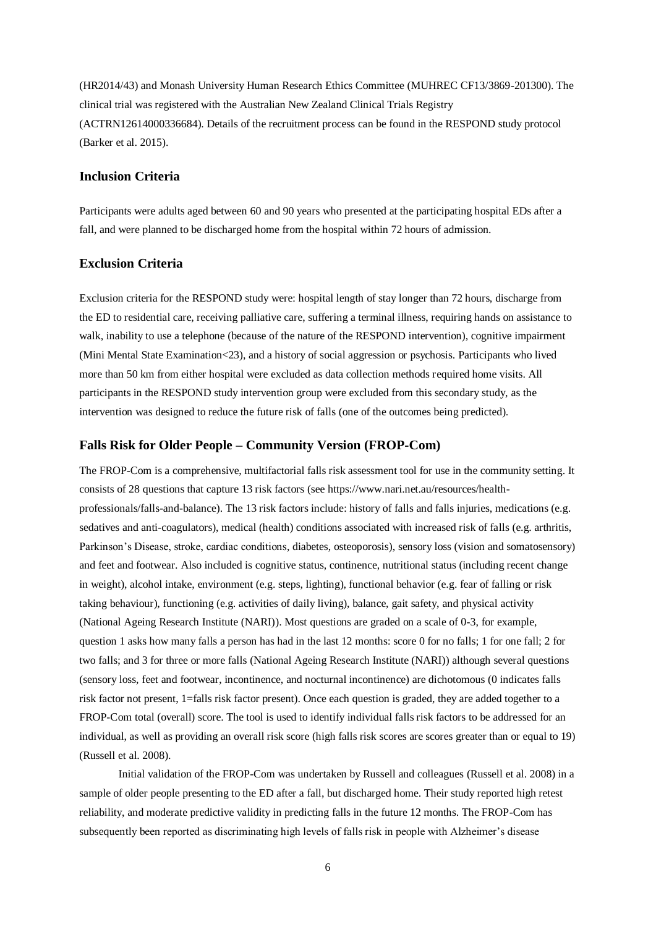(HR2014/43) and Monash University Human Research Ethics Committee (MUHREC CF13/3869-201300). The clinical trial was registered with the Australian New Zealand Clinical Trials Registry (ACTRN12614000336684). Details of the recruitment process can be found in the RESPOND study protocol [\(Barker et al. 2015\)](#page-13-9).

## **Inclusion Criteria**

Participants were adults aged between 60 and 90 years who presented at the participating hospital EDs after a fall, and were planned to be discharged home from the hospital within 72 hours of admission.

#### **Exclusion Criteria**

Exclusion criteria for the RESPOND study were: hospital length of stay longer than 72 hours, discharge from the ED to residential care, receiving palliative care, suffering a terminal illness, requiring hands on assistance to walk, inability to use a telephone (because of the nature of the RESPOND intervention), cognitive impairment (Mini Mental State Examination<23), and a history of social aggression or psychosis. Participants who lived more than 50 km from either hospital were excluded as data collection methods required home visits. All participants in the RESPOND study intervention group were excluded from this secondary study, as the intervention was designed to reduce the future risk of falls (one of the outcomes being predicted).

#### **Falls Risk for Older People – Community Version (FROP-Com)**

The FROP-Com is a comprehensive, multifactorial falls risk assessment tool for use in the community setting. It consists of 28 questions that capture 13 risk factors (see https://www.nari.net.au/resources/healthprofessionals/falls-and-balance). The 13 risk factors include: history of falls and falls injuries, medications (e.g. sedatives and anti-coagulators), medical (health) conditions associated with increased risk of falls (e.g. arthritis, Parkinson's Disease, stroke, cardiac conditions, diabetes, osteoporosis), sensory loss (vision and somatosensory) and feet and footwear. Also included is cognitive status, continence, nutritional status (including recent change in weight), alcohol intake, environment (e.g. steps, lighting), functional behavior (e.g. fear of falling or risk taking behaviour), functioning (e.g. activities of daily living), balance, gait safety, and physical activity [\(National Ageing Research Institute \(NARI\)\)](#page-14-8). Most questions are graded on a scale of 0-3, for example, question 1 asks how many falls a person has had in the last 12 months: score 0 for no falls; 1 for one fall; 2 for two falls; and 3 for three or more falls [\(National Ageing Research Institute \(NARI\)\)](#page-14-8) although several questions (sensory loss, feet and footwear, incontinence, and nocturnal incontinence) are dichotomous (0 indicates falls risk factor not present, 1=falls risk factor present). Once each question is graded, they are added together to a FROP-Com total (overall) score. The tool is used to identify individual falls risk factors to be addressed for an individual, as well as providing an overall risk score (high falls risk scores are scores greater than or equal to 19) [\(Russell et al. 2008\)](#page-15-8).

Initial validation of the FROP-Com was undertaken by Russell and colleagues [\(Russell et al. 2008\)](#page-15-8) in a sample of older people presenting to the ED after a fall, but discharged home. Their study reported high retest reliability, and moderate predictive validity in predicting falls in the future 12 months. The FROP-Com has subsequently been reported as discriminating high levels of falls risk in people with Alzheimer's disease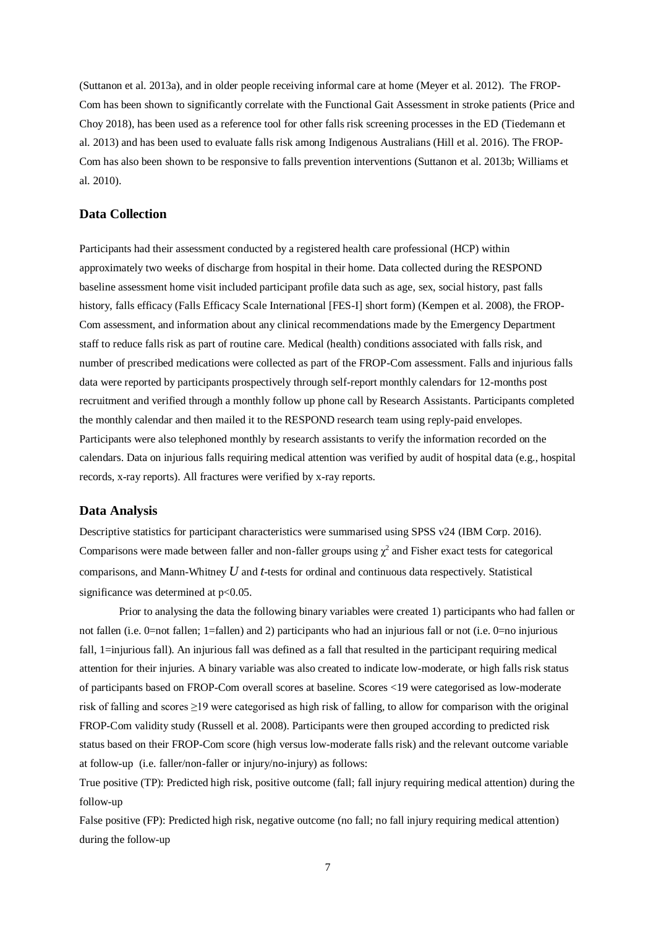[\(Suttanon et al. 2013a\)](#page-15-9), and in older people receiving informal care at home [\(Meyer et al. 2012\)](#page-14-9). The FROP-Com has been shown to significantly correlate with the Functional Gait Assessment in stroke patients [\(Price and](#page-14-10)  [Choy 2018\)](#page-14-10), has been used as a reference tool for other falls risk screening processes in the ED [\(Tiedemann et](#page-15-10)  [al. 2013\)](#page-15-10) and has been used to evaluate falls risk among Indigenous Australians [\(Hill et al. 2016\)](#page-13-10). The FROP-Com has also been shown to be responsive to falls prevention interventions [\(Suttanon et al. 2013b;](#page-15-11) [Williams et](#page-16-2)  [al. 2010\)](#page-16-2).

### **Data Collection**

Participants had their assessment conducted by a registered health care professional (HCP) within approximately two weeks of discharge from hospital in their home. Data collected during the RESPOND baseline assessment home visit included participant profile data such as age, sex, social history, past falls history, falls efficacy (Falls Efficacy Scale International [FES-I] short form) [\(Kempen et al. 2008\)](#page-14-11), the FROP-Com assessment, and information about any clinical recommendations made by the Emergency Department staff to reduce falls risk as part of routine care. Medical (health) conditions associated with falls risk, and number of prescribed medications were collected as part of the FROP-Com assessment. Falls and injurious falls data were reported by participants prospectively through self-report monthly calendars for 12-months post recruitment and verified through a monthly follow up phone call by Research Assistants. Participants completed the monthly calendar and then mailed it to the RESPOND research team using reply-paid envelopes. Participants were also telephoned monthly by research assistants to verify the information recorded on the calendars. Data on injurious falls requiring medical attention was verified by audit of hospital data (e.g., hospital records, x-ray reports). All fractures were verified by x-ray reports.

### **Data Analysis**

Descriptive statistics for participant characteristics were summarised using SPSS v24 [\(IBM Corp. 2016\)](#page-13-11). Comparisons were made between faller and non-faller groups using  $\chi^2$  and Fisher exact tests for categorical comparisons, and Mann-Whitney *U* and *t*-tests for ordinal and continuous data respectively. Statistical significance was determined at  $p<0.05$ .

Prior to analysing the data the following binary variables were created 1) participants who had fallen or not fallen (i.e. 0=not fallen; 1=fallen) and 2) participants who had an injurious fall or not (i.e. 0=no injurious fall, 1=injurious fall). An injurious fall was defined as a fall that resulted in the participant requiring medical attention for their injuries. A binary variable was also created to indicate low-moderate, or high falls risk status of participants based on FROP-Com overall scores at baseline. Scores <19 were categorised as low-moderate risk of falling and scores ≥19 were categorised as high risk of falling, to allow for comparison with the original FROP-Com validity study [\(Russell et al. 2008\)](#page-15-8). Participants were then grouped according to predicted risk status based on their FROP-Com score (high versus low-moderate falls risk) and the relevant outcome variable at follow-up (i.e. faller/non-faller or injury/no-injury) as follows:

True positive (TP): Predicted high risk, positive outcome (fall; fall injury requiring medical attention) during the follow-up

False positive (FP): Predicted high risk, negative outcome (no fall; no fall injury requiring medical attention) during the follow-up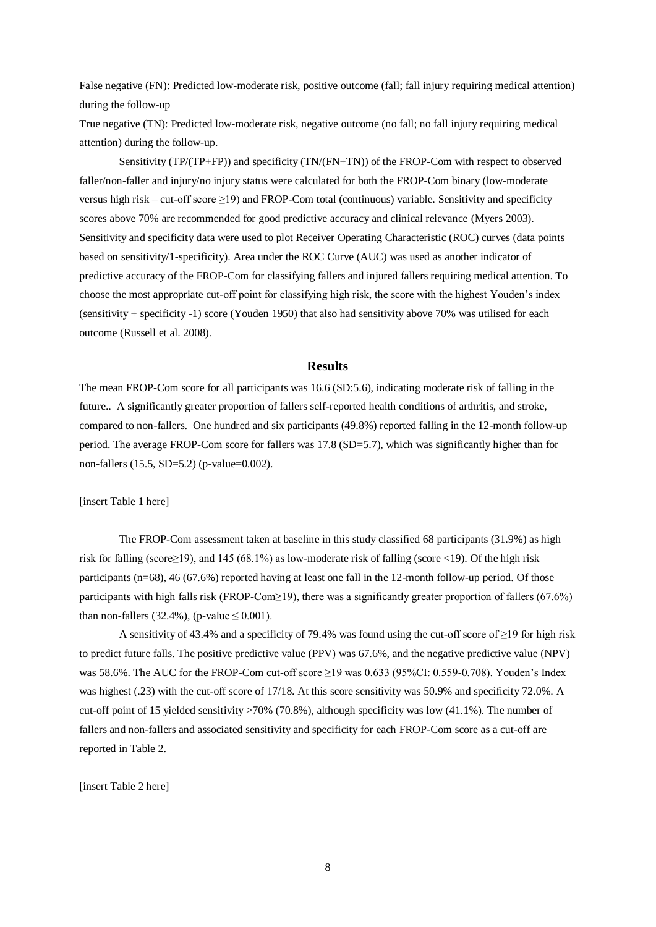False negative (FN): Predicted low-moderate risk, positive outcome (fall; fall injury requiring medical attention) during the follow-up

True negative (TN): Predicted low-moderate risk, negative outcome (no fall; no fall injury requiring medical attention) during the follow-up.

Sensitivity (TP/(TP+FP)) and specificity (TN/(FN+TN)) of the FROP-Com with respect to observed faller/non-faller and injury/no injury status were calculated for both the FROP-Com binary (low-moderate versus high risk – cut-off score ≥19) and FROP-Com total (continuous) variable. Sensitivity and specificity scores above 70% are recommended for good predictive accuracy and clinical relevance [\(Myers 2003\)](#page-14-6). Sensitivity and specificity data were used to plot Receiver Operating Characteristic (ROC) curves (data points based on sensitivity/1-specificity). Area under the ROC Curve (AUC) was used as another indicator of predictive accuracy of the FROP-Com for classifying fallers and injured fallers requiring medical attention. To choose the most appropriate cut-off point for classifying high risk, the score with the highest Youden's index (sensitivity + specificity -1) score [\(Youden 1950\)](#page-16-3) that also had sensitivity above 70% was utilised for each outcome [\(Russell et al. 2008\)](#page-15-8).

#### **Results**

The mean FROP-Com score for all participants was 16.6 (SD:5.6), indicating moderate risk of falling in the future.. A significantly greater proportion of fallers self-reported health conditions of arthritis, and stroke, compared to non-fallers. One hundred and six participants (49.8%) reported falling in the 12-month follow-up period. The average FROP-Com score for fallers was 17.8 (SD=5.7), which was significantly higher than for non-fallers (15.5, SD=5.2) (p-value=0.002).

#### [insert Table 1 here]

The FROP-Com assessment taken at baseline in this study classified 68 participants (31.9%) as high risk for falling (score≥19), and 145 (68.1%) as low-moderate risk of falling (score <19). Of the high risk participants (n=68), 46 (67.6%) reported having at least one fall in the 12-month follow-up period. Of those participants with high falls risk (FROP-Com≥19), there was a significantly greater proportion of fallers (67.6%) than non-fallers (32.4%), (p-value  $\leq 0.001$ ).

A sensitivity of 43.4% and a specificity of 79.4% was found using the cut-off score of ≥19 for high risk to predict future falls. The positive predictive value (PPV) was 67.6%, and the negative predictive value (NPV) was 58.6%. The AUC for the FROP-Com cut-off score ≥19 was 0.633 (95%CI: 0.559-0.708). Youden's Index was highest (.23) with the cut-off score of 17/18. At this score sensitivity was 50.9% and specificity 72.0%. A cut-off point of 15 yielded sensitivity  $>70\%$  (70.8%), although specificity was low (41.1%). The number of fallers and non-fallers and associated sensitivity and specificity for each FROP-Com score as a cut-off are reported in Table 2.

#### [insert Table 2 here]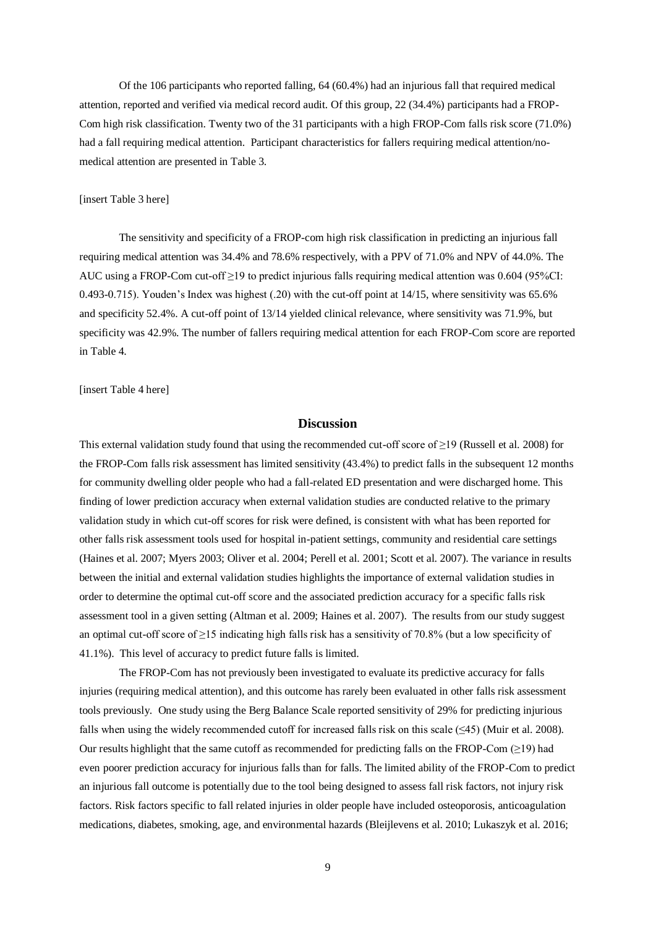Of the 106 participants who reported falling, 64 (60.4%) had an injurious fall that required medical attention, reported and verified via medical record audit. Of this group, 22 (34.4%) participants had a FROP-Com high risk classification. Twenty two of the 31 participants with a high FROP-Com falls risk score (71.0%) had a fall requiring medical attention. Participant characteristics for fallers requiring medical attention/nomedical attention are presented in Table 3.

#### [insert Table 3 here]

The sensitivity and specificity of a FROP-com high risk classification in predicting an injurious fall requiring medical attention was 34.4% and 78.6% respectively, with a PPV of 71.0% and NPV of 44.0%. The AUC using a FROP-Com cut-off ≥19 to predict injurious falls requiring medical attention was 0.604 (95%CI: 0.493-0.715). Youden's Index was highest (.20) with the cut-off point at 14/15, where sensitivity was 65.6% and specificity 52.4%. A cut-off point of 13/14 yielded clinical relevance, where sensitivity was 71.9%, but specificity was 42.9%. The number of fallers requiring medical attention for each FROP-Com score are reported in Table 4.

[insert Table 4 here]

#### **Discussion**

This external validation study found that using the recommended cut-off score of ≥19 [\(Russell et al. 2008\)](#page-15-8) for the FROP-Com falls risk assessment has limited sensitivity (43.4%) to predict falls in the subsequent 12 months for community dwelling older people who had a fall-related ED presentation and were discharged home. This finding of lower prediction accuracy when external validation studies are conducted relative to the primary validation study in which cut-off scores for risk were defined, is consistent with what has been reported for other falls risk assessment tools used for hospital in-patient settings, community and residential care settings [\(Haines et al. 2007;](#page-13-8) [Myers 2003;](#page-14-6) [Oliver et al. 2004;](#page-14-12) [Perell et al. 2001;](#page-14-13) [Scott et al. 2007\)](#page-15-12). The variance in results between the initial and external validation studies highlights the importance of external validation studies in order to determine the optimal cut-off score and the associated prediction accuracy for a specific falls risk assessment tool in a given setting [\(Altman et al. 2009;](#page-13-12) [Haines et al. 2007\)](#page-13-8). The results from our study suggest an optimal cut-off score of ≥15 indicating high falls risk has a sensitivity of 70.8% (but a low specificity of 41.1%). This level of accuracy to predict future falls is limited.

The FROP-Com has not previously been investigated to evaluate its predictive accuracy for falls injuries (requiring medical attention), and this outcome has rarely been evaluated in other falls risk assessment tools previously. One study using the Berg Balance Scale reported sensitivity of 29% for predicting injurious falls when using the widely recommended cutoff for increased falls risk on this scale (<45) [\(Muir et al. 2008\)](#page-14-14). Our results highlight that the same cutoff as recommended for predicting falls on the FROP-Com  $(≥19)$  had even poorer prediction accuracy for injurious falls than for falls. The limited ability of the FROP-Com to predict an injurious fall outcome is potentially due to the tool being designed to assess fall risk factors, not injury risk factors. Risk factors specific to fall related injuries in older people have included osteoporosis, anticoagulation medications, diabetes, smoking, age, and environmental hazards [\(Bleijlevens et al. 2010;](#page-13-13) [Lukaszyk et al. 2016;](#page-14-15)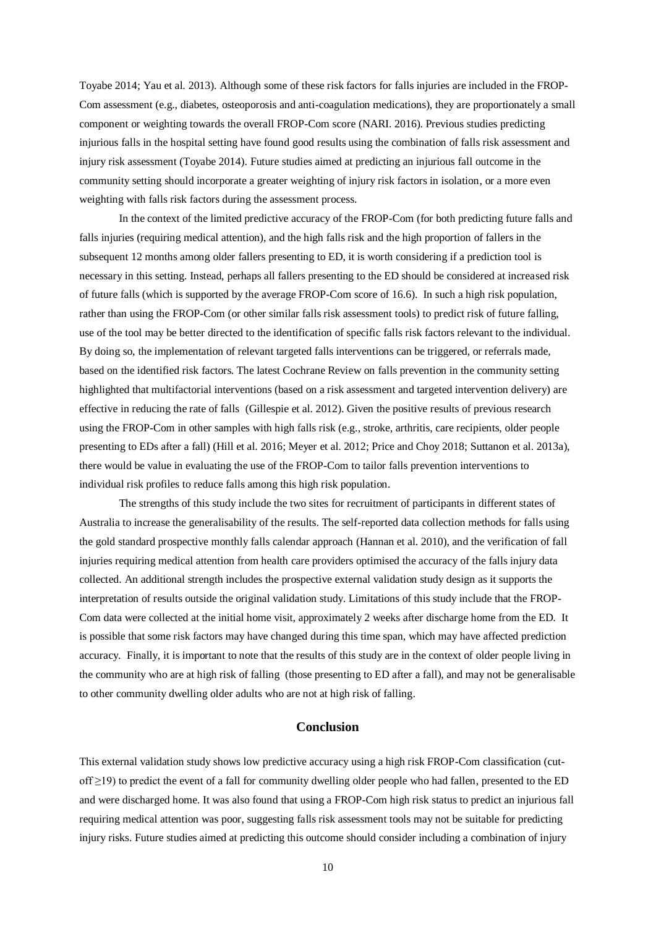[Toyabe 2014;](#page-15-13) [Yau et al. 2013\)](#page-16-4). Although some of these risk factors for falls injuries are included in the FROP-Com assessment (e.g., diabetes, osteoporosis and anti-coagulation medications), they are proportionately a small component or weighting towards the overall FROP-Com score [\(NARI. 2016\)](#page-14-16). Previous studies predicting injurious falls in the hospital setting have found good results using the combination of falls risk assessment and injury risk assessment [\(Toyabe 2014\)](#page-15-13). Future studies aimed at predicting an injurious fall outcome in the community setting should incorporate a greater weighting of injury risk factors in isolation, or a more even weighting with falls risk factors during the assessment process.

In the context of the limited predictive accuracy of the FROP-Com (for both predicting future falls and falls injuries (requiring medical attention), and the high falls risk and the high proportion of fallers in the subsequent 12 months among older fallers presenting to ED, it is worth considering if a prediction tool is necessary in this setting. Instead, perhaps all fallers presenting to the ED should be considered at increased risk of future falls (which is supported by the average FROP-Com score of 16.6). In such a high risk population, rather than using the FROP-Com (or other similar falls risk assessment tools) to predict risk of future falling, use of the tool may be better directed to the identification of specific falls risk factors relevant to the individual. By doing so, the implementation of relevant targeted falls interventions can be triggered, or referrals made, based on the identified risk factors. The latest Cochrane Review on falls prevention in the community setting highlighted that multifactorial interventions (based on a risk assessment and targeted intervention delivery) are effective in reducing the rate of falls [\(Gillespie et al. 2012\)](#page-13-14). Given the positive results of previous research using the FROP-Com in other samples with high falls risk (e.g., stroke, arthritis, care recipients, older people presenting to EDs after a fall) [\(Hill et al. 2016;](#page-13-10) [Meyer et al. 2012;](#page-14-9) [Price and Choy 2018;](#page-14-10) [Suttanon et al. 2013a\)](#page-15-9), there would be value in evaluating the use of the FROP-Com to tailor falls prevention interventions to individual risk profiles to reduce falls among this high risk population.

The strengths of this study include the two sites for recruitment of participants in different states of Australia to increase the generalisability of the results. The self-reported data collection methods for falls using the gold standard prospective monthly falls calendar approach [\(Hannan et al. 2010\)](#page-13-15), and the verification of fall injuries requiring medical attention from health care providers optimised the accuracy of the falls injury data collected. An additional strength includes the prospective external validation study design as it supports the interpretation of results outside the original validation study. Limitations of this study include that the FROP-Com data were collected at the initial home visit, approximately 2 weeks after discharge home from the ED. It is possible that some risk factors may have changed during this time span, which may have affected prediction accuracy. Finally, it is important to note that the results of this study are in the context of older people living in the community who are at high risk of falling (those presenting to ED after a fall), and may not be generalisable to other community dwelling older adults who are not at high risk of falling.

#### **Conclusion**

This external validation study shows low predictive accuracy using a high risk FROP-Com classification (cutoff ≥19) to predict the event of a fall for community dwelling older people who had fallen, presented to the ED and were discharged home. It was also found that using a FROP-Com high risk status to predict an injurious fall requiring medical attention was poor, suggesting falls risk assessment tools may not be suitable for predicting injury risks. Future studies aimed at predicting this outcome should consider including a combination of injury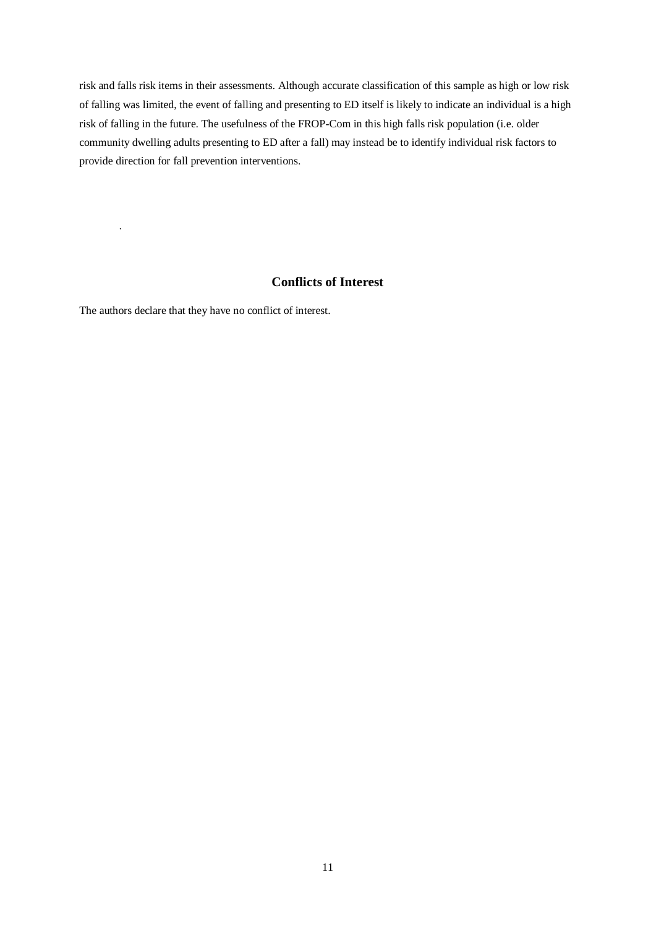risk and falls risk items in their assessments. Although accurate classification of this sample as high or low risk of falling was limited, the event of falling and presenting to ED itself is likely to indicate an individual is a high risk of falling in the future. The usefulness of the FROP-Com in this high falls risk population (i.e. older community dwelling adults presenting to ED after a fall) may instead be to identify individual risk factors to provide direction for fall prevention interventions.

## **Conflicts of Interest**

The authors declare that they have no conflict of interest.

.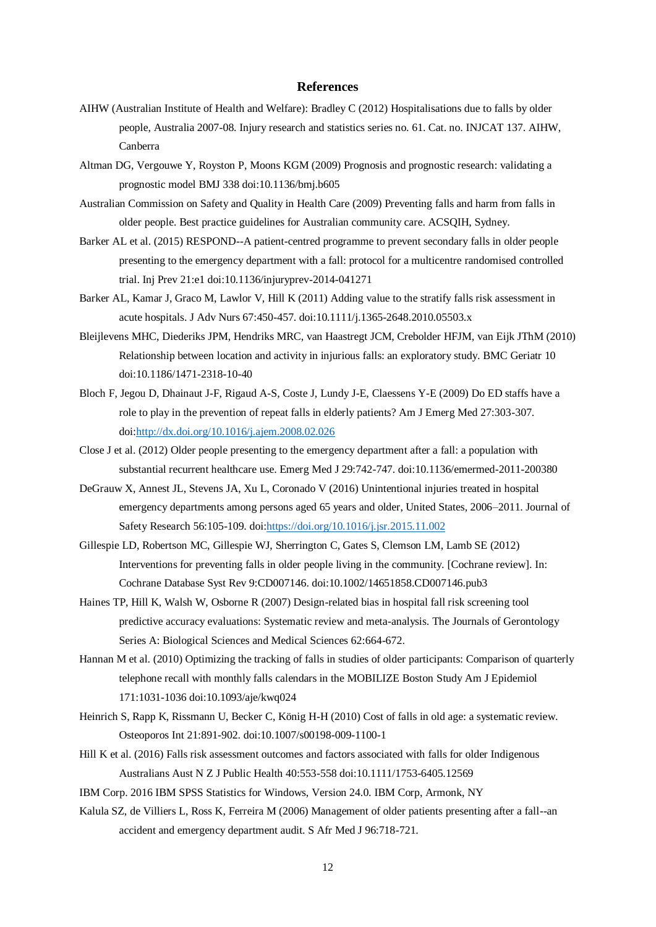#### **References**

- <span id="page-13-2"></span>AIHW (Australian Institute of Health and Welfare): Bradley C (2012) Hospitalisations due to falls by older people, Australia 2007-08. Injury research and statistics series no. 61. Cat. no. INJCAT 137. AIHW, Canberra
- <span id="page-13-12"></span>Altman DG, Vergouwe Y, Royston P, Moons KGM (2009) Prognosis and prognostic research: validating a prognostic model BMJ 338 doi:10.1136/bmj.b605
- <span id="page-13-6"></span>Australian Commission on Safety and Quality in Health Care (2009) Preventing falls and harm from falls in older people. Best practice guidelines for Australian community care. ACSQIH, Sydney.
- <span id="page-13-9"></span>Barker AL et al. (2015) RESPOND--A patient-centred programme to prevent secondary falls in older people presenting to the emergency department with a fall: protocol for a multicentre randomised controlled trial. Inj Prev 21:e1 doi:10.1136/injuryprev-2014-041271
- <span id="page-13-7"></span>Barker AL, Kamar J, Graco M, Lawlor V, Hill K (2011) Adding value to the stratify falls risk assessment in acute hospitals. J Adv Nurs 67:450-457. doi:10.1111/j.1365-2648.2010.05503.x
- <span id="page-13-13"></span>Bleijlevens MHC, Diederiks JPM, Hendriks MRC, van Haastregt JCM, Crebolder HFJM, van Eijk JThM (2010) Relationship between location and activity in injurious falls: an exploratory study. BMC Geriatr 10 doi:10.1186/1471-2318-10-40
- <span id="page-13-3"></span>Bloch F, Jegou D, Dhainaut J-F, Rigaud A-S, Coste J, Lundy J-E, Claessens Y-E (2009) Do ED staffs have a role to play in the prevention of repeat falls in elderly patients? Am J Emerg Med 27:303-307. doi[:http://dx.doi.org/10.1016/j.ajem.2008.02.026](http://dx.doi.org/10.1016/j.ajem.2008.02.026)
- <span id="page-13-4"></span>Close J et al. (2012) Older people presenting to the emergency department after a fall: a population with substantial recurrent healthcare use. Emerg Med J 29:742-747. doi:10.1136/emermed-2011-200380
- <span id="page-13-0"></span>DeGrauw X, Annest JL, Stevens JA, Xu L, Coronado V (2016) Unintentional injuries treated in hospital emergency departments among persons aged 65 years and older, United States, 2006–2011. Journal of Safety Research 56:105-109. doi[:https://doi.org/10.1016/j.jsr.2015.11.002](https://doi.org/10.1016/j.jsr.2015.11.002)
- <span id="page-13-14"></span>Gillespie LD, Robertson MC, Gillespie WJ, Sherrington C, Gates S, Clemson LM, Lamb SE (2012) Interventions for preventing falls in older people living in the community. [Cochrane review]. In: Cochrane Database Syst Rev 9:CD007146. doi:10.1002/14651858.CD007146.pub3
- <span id="page-13-8"></span>Haines TP, Hill K, Walsh W, Osborne R (2007) Design-related bias in hospital fall risk screening tool predictive accuracy evaluations: Systematic review and meta-analysis. The Journals of Gerontology Series A: Biological Sciences and Medical Sciences 62:664-672.
- <span id="page-13-15"></span>Hannan M et al. (2010) Optimizing the tracking of falls in studies of older participants: Comparison of quarterly telephone recall with monthly falls calendars in the MOBILIZE Boston Study Am J Epidemiol 171:1031-1036 doi:10.1093/aje/kwq024
- <span id="page-13-1"></span>Heinrich S, Rapp K, Rissmann U, Becker C, König H-H (2010) Cost of falls in old age: a systematic review. Osteoporos Int 21:891-902. doi:10.1007/s00198-009-1100-1
- <span id="page-13-10"></span>Hill K et al. (2016) Falls risk assessment outcomes and factors associated with falls for older Indigenous Australians Aust N Z J Public Health 40:553-558 doi:10.1111/1753-6405.12569
- <span id="page-13-11"></span>IBM Corp. 2016 IBM SPSS Statistics for Windows, Version 24.0. IBM Corp, Armonk, NY
- <span id="page-13-5"></span>Kalula SZ, de Villiers L, Ross K, Ferreira M (2006) Management of older patients presenting after a fall--an accident and emergency department audit. S Afr Med J 96:718-721.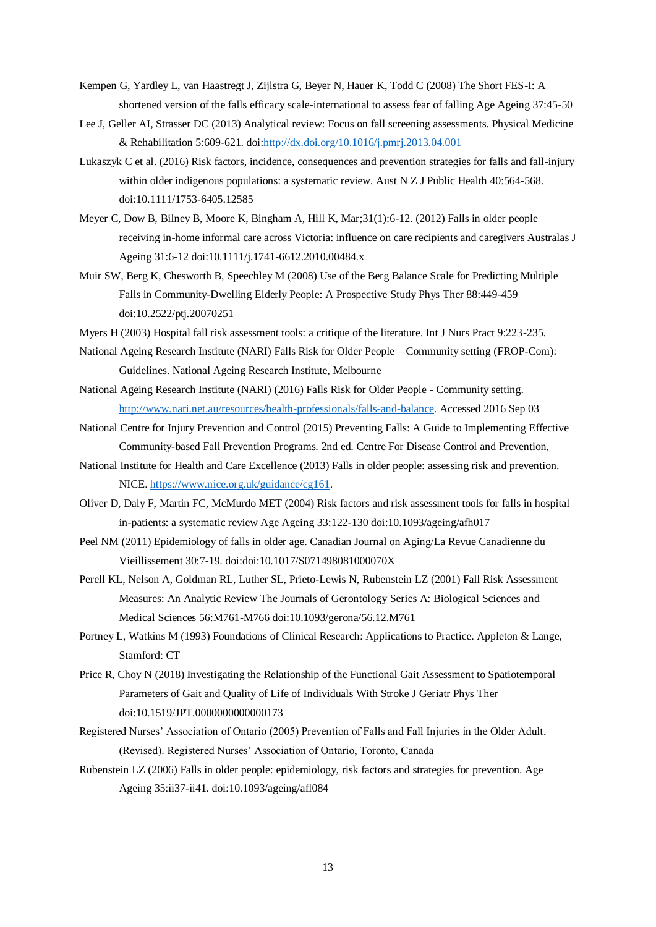- <span id="page-14-11"></span>Kempen G, Yardley L, van Haastregt J, Zijlstra G, Beyer N, Hauer K, Todd C (2008) The Short FES-I: A shortened version of the falls efficacy scale-international to assess fear of falling Age Ageing 37:45-50
- <span id="page-14-5"></span>Lee J, Geller AI, Strasser DC (2013) Analytical review: Focus on fall screening assessments. Physical Medicine & Rehabilitation 5:609-621. doi[:http://dx.doi.org/10.1016/j.pmrj.2013.04.001](http://dx.doi.org/10.1016/j.pmrj.2013.04.001)
- <span id="page-14-15"></span>Lukaszyk C et al. (2016) Risk factors, incidence, consequences and prevention strategies for falls and fall-injury within older indigenous populations: a systematic review. Aust N Z J Public Health 40:564-568. doi:10.1111/1753-6405.12585
- <span id="page-14-9"></span>Meyer C, Dow B, Bilney B, Moore K, Bingham A, Hill K, Mar;31(1):6-12. (2012) Falls in older people receiving in-home informal care across Victoria: influence on care recipients and caregivers Australas J Ageing 31:6-12 doi:10.1111/j.1741-6612.2010.00484.x
- <span id="page-14-14"></span>Muir SW, Berg K, Chesworth B, Speechley M (2008) Use of the Berg Balance Scale for Predicting Multiple Falls in Community-Dwelling Elderly People: A Prospective Study Phys Ther 88:449-459 doi:10.2522/ptj.20070251
- <span id="page-14-6"></span>Myers H (2003) Hospital fall risk assessment tools: a critique of the literature. Int J Nurs Pract 9:223-235.
- <span id="page-14-8"></span>National Ageing Research Institute (NARI) Falls Risk for Older People – Community setting (FROP-Com): Guidelines. National Ageing Research Institute, Melbourne
- <span id="page-14-16"></span>National Ageing Research Institute (NARI) (2016) Falls Risk for Older People - Community setting. [http://www.nari.net.au/resources/health-professionals/falls-and-balance.](http://www.nari.net.au/resources/health-professionals/falls-and-balance) Accessed 2016 Sep 03
- <span id="page-14-2"></span>National Centre for Injury Prevention and Control (2015) Preventing Falls: A Guide to Implementing Effective Community-based Fall Prevention Programs. 2nd ed. Centre For Disease Control and Prevention,
- <span id="page-14-3"></span>National Institute for Health and Care Excellence (2013) Falls in older people: assessing risk and prevention. NICE[. https://www.nice.org.uk/guidance/cg161.](https://www.nice.org.uk/guidance/cg161)
- <span id="page-14-12"></span>Oliver D, Daly F, Martin FC, McMurdo MET (2004) Risk factors and risk assessment tools for falls in hospital in-patients: a systematic review Age Ageing 33:122-130 doi:10.1093/ageing/afh017
- <span id="page-14-0"></span>Peel NM (2011) Epidemiology of falls in older age. Canadian Journal on Aging/La Revue Canadienne du Vieillissement 30:7-19. doi:doi:10.1017/S071498081000070X
- <span id="page-14-13"></span>Perell KL, Nelson A, Goldman RL, Luther SL, Prieto-Lewis N, Rubenstein LZ (2001) Fall Risk Assessment Measures: An Analytic Review The Journals of Gerontology Series A: Biological Sciences and Medical Sciences 56:M761-M766 doi:10.1093/gerona/56.12.M761
- <span id="page-14-7"></span>Portney L, Watkins M (1993) Foundations of Clinical Research: Applications to Practice. Appleton & Lange, Stamford: CT
- <span id="page-14-10"></span>Price R, Choy N (2018) Investigating the Relationship of the Functional Gait Assessment to Spatiotemporal Parameters of Gait and Quality of Life of Individuals With Stroke J Geriatr Phys Ther doi:10.1519/JPT.0000000000000173
- <span id="page-14-4"></span>Registered Nurses' Association of Ontario (2005) Prevention of Falls and Fall Injuries in the Older Adult. (Revised). Registered Nurses' Association of Ontario, Toronto, Canada
- <span id="page-14-1"></span>Rubenstein LZ (2006) Falls in older people: epidemiology, risk factors and strategies for prevention. Age Ageing 35:ii37-ii41. doi:10.1093/ageing/afl084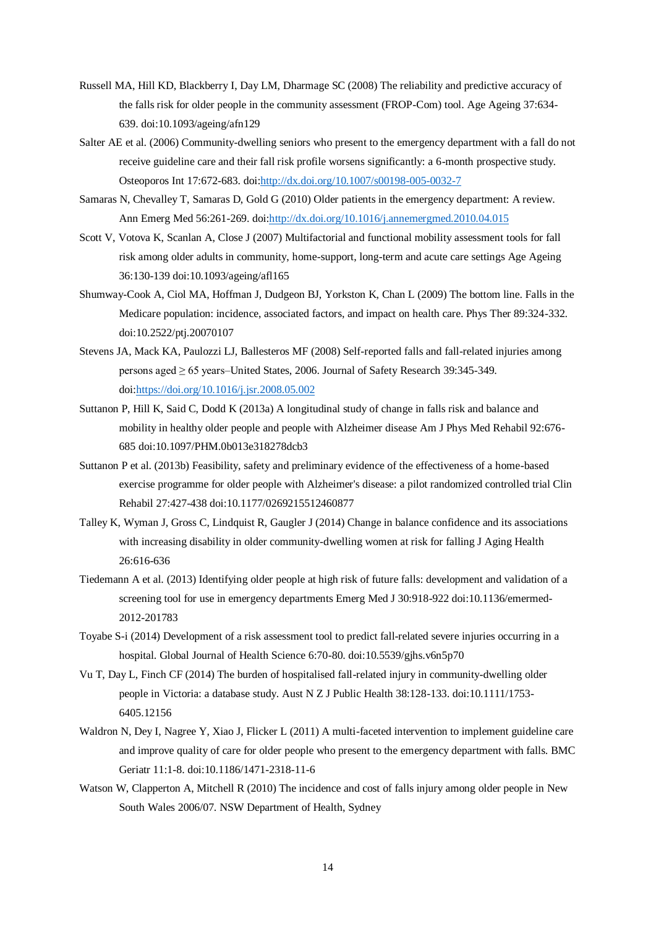- <span id="page-15-8"></span>Russell MA, Hill KD, Blackberry I, Day LM, Dharmage SC (2008) The reliability and predictive accuracy of the falls risk for older people in the community assessment (FROP-Com) tool. Age Ageing 37:634- 639. doi:10.1093/ageing/afn129
- <span id="page-15-6"></span>Salter AE et al. (2006) Community-dwelling seniors who present to the emergency department with a fall do not receive guideline care and their fall risk profile worsens significantly: a 6-month prospective study. Osteoporos Int 17:672-683. doi[:http://dx.doi.org/10.1007/s00198-005-0032-7](http://dx.doi.org/10.1007/s00198-005-0032-7)
- <span id="page-15-5"></span>Samaras N, Chevalley T, Samaras D, Gold G (2010) Older patients in the emergency department: A review. Ann Emerg Med 56:261-269. doi[:http://dx.doi.org/10.1016/j.annemergmed.2010.04.015](http://dx.doi.org/10.1016/j.annemergmed.2010.04.015)
- <span id="page-15-12"></span>Scott V, Votova K, Scanlan A, Close J (2007) Multifactorial and functional mobility assessment tools for fall risk among older adults in community, home-support, long-term and acute care settings Age Ageing 36:130-139 doi:10.1093/ageing/afl165
- <span id="page-15-0"></span>Shumway-Cook A, Ciol MA, Hoffman J, Dudgeon BJ, Yorkston K, Chan L (2009) The bottom line. Falls in the Medicare population: incidence, associated factors, and impact on health care. Phys Ther 89:324-332. doi:10.2522/ptj.20070107
- <span id="page-15-1"></span>Stevens JA, Mack KA, Paulozzi LJ, Ballesteros MF (2008) Self-reported falls and fall-related injuries among persons aged ≥ 65 years–United States, 2006. Journal of Safety Research 39:345-349. doi[:https://doi.org/10.1016/j.jsr.2008.05.002](https://doi.org/10.1016/j.jsr.2008.05.002)
- <span id="page-15-9"></span>Suttanon P, Hill K, Said C, Dodd K (2013a) A longitudinal study of change in falls risk and balance and mobility in healthy older people and people with Alzheimer disease Am J Phys Med Rehabil 92:676- 685 doi:10.1097/PHM.0b013e318278dcb3
- <span id="page-15-11"></span>Suttanon P et al. (2013b) Feasibility, safety and preliminary evidence of the effectiveness of a home-based exercise programme for older people with Alzheimer's disease: a pilot randomized controlled trial Clin Rehabil 27:427-438 doi:10.1177/0269215512460877
- <span id="page-15-2"></span>Talley K, Wyman J, Gross C, Lindquist R, Gaugler J (2014) Change in balance confidence and its associations with increasing disability in older community-dwelling women at risk for falling J Aging Health 26:616-636
- <span id="page-15-10"></span>Tiedemann A et al. (2013) Identifying older people at high risk of future falls: development and validation of a screening tool for use in emergency departments Emerg Med J 30:918-922 doi:10.1136/emermed-2012-201783
- <span id="page-15-13"></span>Toyabe S-i (2014) Development of a risk assessment tool to predict fall-related severe injuries occurring in a hospital. Global Journal of Health Science 6:70-80. doi:10.5539/gjhs.v6n5p70
- <span id="page-15-4"></span>Vu T, Day L, Finch CF (2014) The burden of hospitalised fall-related injury in community-dwelling older people in Victoria: a database study. Aust N Z J Public Health 38:128-133. doi:10.1111/1753- 6405.12156
- <span id="page-15-7"></span>Waldron N, Dey I, Nagree Y, Xiao J, Flicker L (2011) A multi-faceted intervention to implement guideline care and improve quality of care for older people who present to the emergency department with falls. BMC Geriatr 11:1-8. doi:10.1186/1471-2318-11-6
- <span id="page-15-3"></span>Watson W, Clapperton A, Mitchell R (2010) The incidence and cost of falls injury among older people in New South Wales 2006/07. NSW Department of Health, Sydney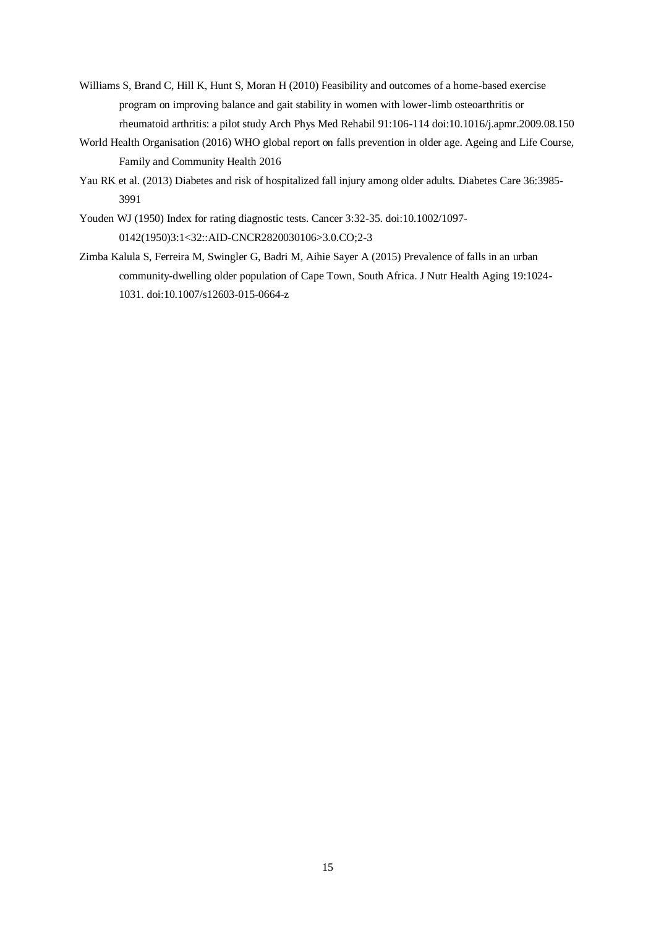- <span id="page-16-2"></span>Williams S, Brand C, Hill K, Hunt S, Moran H (2010) Feasibility and outcomes of a home-based exercise program on improving balance and gait stability in women with lower-limb osteoarthritis or rheumatoid arthritis: a pilot study Arch Phys Med Rehabil 91:106-114 doi:10.1016/j.apmr.2009.08.150
- <span id="page-16-1"></span>World Health Organisation (2016) WHO global report on falls prevention in older age. Ageing and Life Course, Family and Community Health 2016
- <span id="page-16-4"></span>Yau RK et al. (2013) Diabetes and risk of hospitalized fall injury among older adults. Diabetes Care 36:3985- 3991
- <span id="page-16-3"></span>Youden WJ (1950) Index for rating diagnostic tests. Cancer 3:32-35. doi:10.1002/1097- 0142(1950)3:1<32::AID-CNCR2820030106>3.0.CO;2-3
- <span id="page-16-0"></span>Zimba Kalula S, Ferreira M, Swingler G, Badri M, Aihie Sayer A (2015) Prevalence of falls in an urban community-dwelling older population of Cape Town, South Africa. J Nutr Health Aging 19:1024- 1031. doi:10.1007/s12603-015-0664-z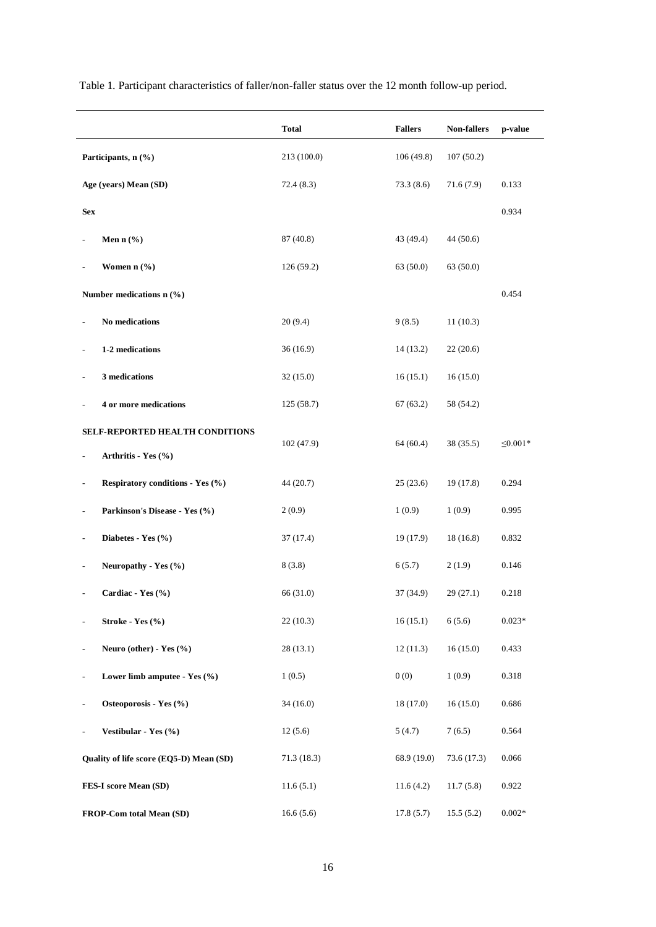Table 1. Participant characteristics of faller/non-faller status over the 12 month follow-up period.

|                                         |                                  | <b>Total</b> | <b>Fallers</b> | <b>Non-fallers</b> | p-value       |
|-----------------------------------------|----------------------------------|--------------|----------------|--------------------|---------------|
| Participants, n (%)                     |                                  | 213 (100.0)  | 106(49.8)      | 107(50.2)          |               |
| Age (years) Mean (SD)                   |                                  | 72.4(8.3)    | 73.3(8.6)      | 71.6(7.9)          | 0.133         |
| <b>Sex</b>                              |                                  |              |                |                    | 0.934         |
| $\overline{a}$                          | Men n $(\% )$                    | 87 (40.8)    | 43 (49.4)      | 44(50.6)           |               |
|                                         | Women $n$ (%)                    | 126(59.2)    | 63(50.0)       | 63(50.0)           |               |
| Number medications $n$ (%)              |                                  |              |                |                    | 0.454         |
|                                         | No medications                   | 20(9.4)      | 9(8.5)         | 11(10.3)           |               |
| $\overline{a}$                          | 1-2 medications                  | 36(16.9)     | 14(13.2)       | 22(20.6)           |               |
|                                         | $\sqrt{3}$ medications           | 32(15.0)     | 16(15.1)       | 16(15.0)           |               |
|                                         | 4 or more medications            | 125 (58.7)   | 67(63.2)       | 58 (54.2)          |               |
| SELF-REPORTED HEALTH CONDITIONS         |                                  | 102(47.9)    | 64(60.4)       | 38 (35.5)          | $\leq 0.001*$ |
| $\overline{a}$                          | Arthritis - Yes (%)              |              |                |                    |               |
| $\overline{a}$                          | Respiratory conditions - Yes (%) | 44 (20.7)    | 25(23.6)       | 19(17.8)           | 0.294         |
| $\overline{a}$                          | Parkinson's Disease - Yes (%)    | 2(0.9)       | 1(0.9)         | 1(0.9)             | 0.995         |
| $\overline{\phantom{a}}$                | Diabetes - Yes (%)               | 37(17.4)     | 19(17.9)       | 18(16.8)           | 0.832         |
|                                         | Neuropathy - Yes (%)             | 8(3.8)       | 6(5.7)         | 2(1.9)             | 0.146         |
|                                         | Cardiac - Yes (%)                | 66 (31.0)    | 37 (34.9)      | 29(27.1)           | 0.218         |
| $\overline{a}$                          | Stroke - Yes (%)                 | 22(10.3)     | 16(15.1)       | 6(5.6)             | $0.023*$      |
| $\overline{\phantom{a}}$                | Neuro (other) - Yes $(\%$ )      | 28(13.1)     | 12(11.3)       | 16(15.0)           | 0.433         |
| $\overline{\phantom{a}}$                | Lower limb amputee - Yes $(\%$   | 1(0.5)       | 0(0)           | 1(0.9)             | 0.318         |
|                                         | Osteoporosis - Yes $(\% )$       | 34(16.0)     | 18 (17.0)      | 16(15.0)           | 0.686         |
|                                         | Vestibular - Yes (%)             | 12(5.6)      | 5(4.7)         | 7(6.5)             | 0.564         |
| Quality of life score (EQ5-D) Mean (SD) |                                  | 71.3(18.3)   | 68.9 (19.0)    | 73.6 (17.3)        | 0.066         |
| FES-I score Mean (SD)                   |                                  | 11.6(5.1)    | 11.6(4.2)      | 11.7(5.8)          | 0.922         |
| FROP-Com total Mean (SD)                |                                  | 16.6(5.6)    | 17.8(5.7)      | 15.5(5.2)          | $0.002*$      |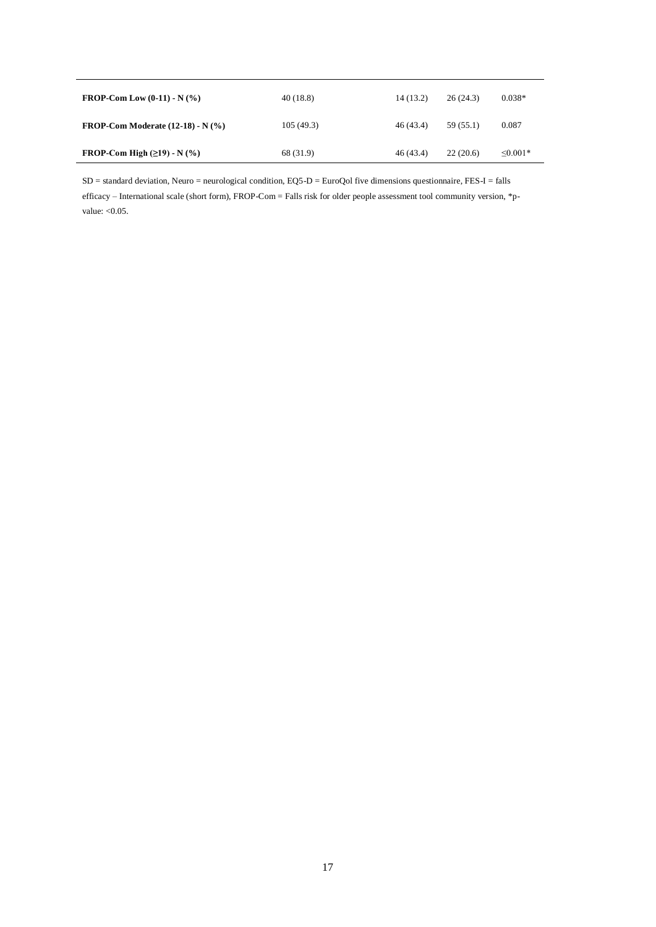| <b>FROP-Com Low (0-11) - N (%)</b>    | 40(18.8)  | 14 (13.2) | 26(24.3)  | $0.038*$      |
|---------------------------------------|-----------|-----------|-----------|---------------|
| FROP-Com Moderate $(12-18)$ - N $(%)$ | 105(49.3) | 46 (43.4) | 59 (55.1) | 0.087         |
| FROP-Com High $(\geq 19)$ - N $(\%)$  | 68 (31.9) | 46 (43.4) | 22(20.6)  | $\leq 0.001*$ |

SD = standard deviation, Neuro = neurological condition, EQ5-D = EuroQol five dimensions questionnaire, FES-I = falls efficacy – International scale (short form), FROP-Com = Falls risk for older people assessment tool community version, \*pvalue: <0.05.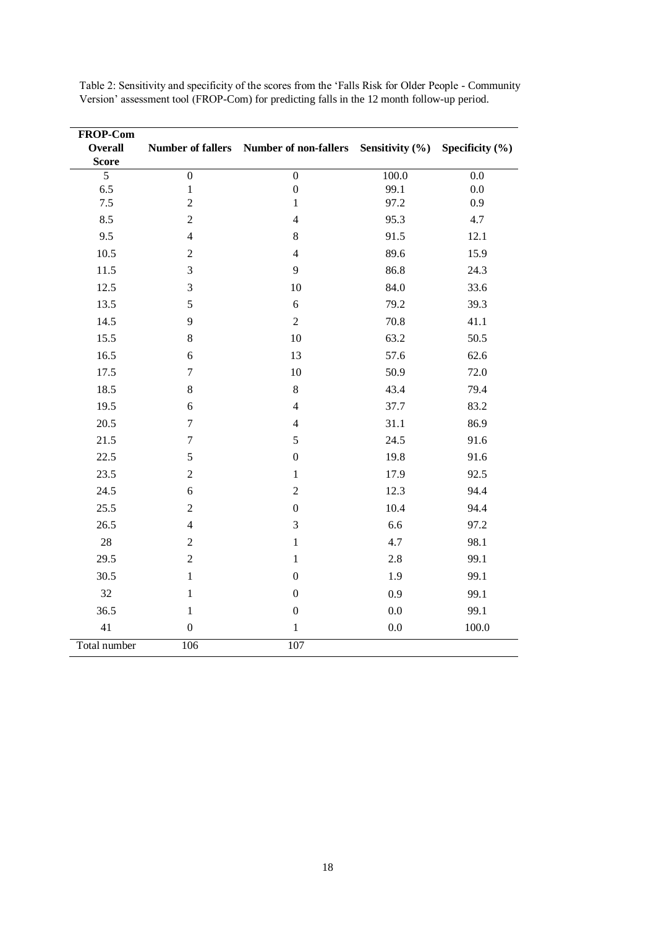| <b>FROP-Com</b> |                          |                                                               |         |       |
|-----------------|--------------------------|---------------------------------------------------------------|---------|-------|
| <b>Overall</b>  | <b>Number of fallers</b> | Number of non-fallers Sensitivity $(\% )$ Specificity $(\% )$ |         |       |
| <b>Score</b>    |                          |                                                               |         |       |
| 5               | $\overline{0}$           | $\boldsymbol{0}$                                              | 100.0   | 0.0   |
| 6.5             | $\mathbf 1$              | $\boldsymbol{0}$                                              | 99.1    | 0.0   |
| 7.5             | $\overline{c}$           | $\mathbf{1}$                                                  | 97.2    | 0.9   |
| 8.5             | $\overline{c}$           | $\overline{4}$                                                | 95.3    | 4.7   |
| 9.5             | $\overline{4}$           | $8\,$                                                         | 91.5    | 12.1  |
| 10.5            | $\mathfrak 2$            | $\overline{4}$                                                | 89.6    | 15.9  |
| 11.5            | 3                        | 9                                                             | 86.8    | 24.3  |
| 12.5            | 3                        | 10                                                            | 84.0    | 33.6  |
| 13.5            | 5                        | $\sqrt{6}$                                                    | 79.2    | 39.3  |
| 14.5            | 9                        | $\overline{2}$                                                | 70.8    | 41.1  |
| 15.5            | 8                        | 10                                                            | 63.2    | 50.5  |
| 16.5            | 6                        | 13                                                            | 57.6    | 62.6  |
| 17.5            | $\overline{7}$           | 10                                                            | 50.9    | 72.0  |
| 18.5            | $\,8\,$                  | $\,8\,$                                                       | 43.4    | 79.4  |
| 19.5            | 6                        | $\overline{4}$                                                | 37.7    | 83.2  |
| 20.5            | $\boldsymbol{7}$         | $\overline{4}$                                                | 31.1    | 86.9  |
| 21.5            | $\boldsymbol{7}$         | 5                                                             | 24.5    | 91.6  |
| 22.5            | 5                        | $\boldsymbol{0}$                                              | 19.8    | 91.6  |
| 23.5            | $\overline{c}$           | $\mathbf{1}$                                                  | 17.9    | 92.5  |
| 24.5            | 6                        | $\overline{c}$                                                | 12.3    | 94.4  |
| 25.5            | $\overline{c}$           | $\boldsymbol{0}$                                              | 10.4    | 94.4  |
| 26.5            | $\overline{4}$           | 3                                                             | 6.6     | 97.2  |
| $28\,$          | $\overline{2}$           | $\mathbf{1}$                                                  | 4.7     | 98.1  |
| 29.5            | $\sqrt{2}$               | $\mathbf{1}$                                                  | 2.8     | 99.1  |
| 30.5            | $\,1$                    | $\mathbf{0}$                                                  | 1.9     | 99.1  |
| 32              | $\,1$                    | $\boldsymbol{0}$                                              | 0.9     | 99.1  |
| 36.5            | $\,1$                    | $\boldsymbol{0}$                                              | $0.0\,$ | 99.1  |
| 41              | $\boldsymbol{0}$         | $\,1$                                                         | $0.0\,$ | 100.0 |
| Total number    | 106                      | 107                                                           |         |       |

Table 2: Sensitivity and specificity of the scores from the 'Falls Risk for Older People - Community Version' assessment tool (FROP-Com) for predicting falls in the 12 month follow-up period.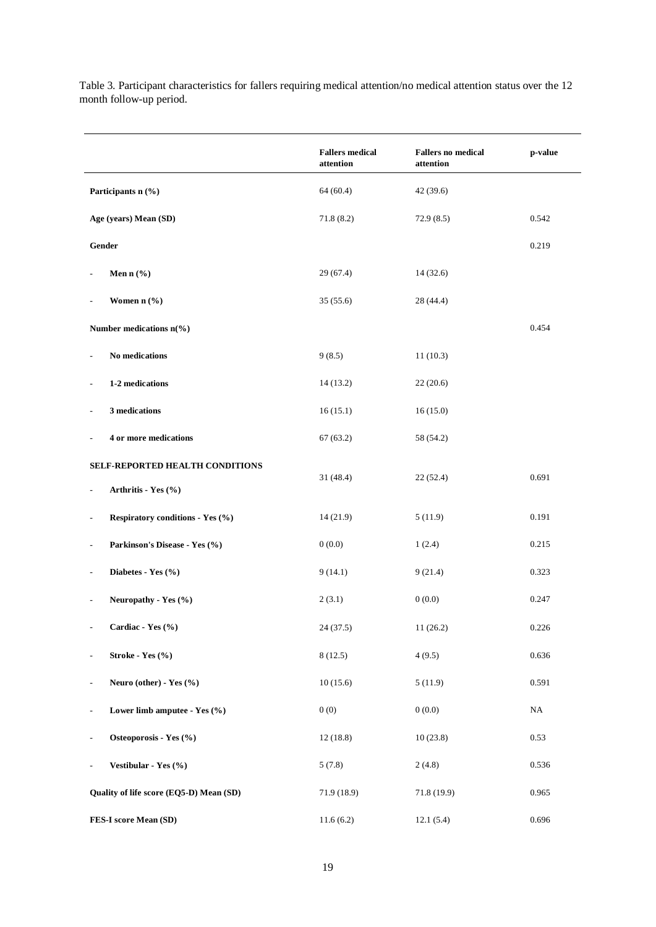Table 3. Participant characteristics for fallers requiring medical attention/no medical attention status over the 12 month follow-up period.

|                                                           | <b>Fallers</b> medical<br>attention | <b>Fallers no medical</b><br>attention | p-value |
|-----------------------------------------------------------|-------------------------------------|----------------------------------------|---------|
| Participants n (%)                                        | 64(60.4)                            | 42(39.6)                               |         |
| Age (years) Mean (SD)                                     | 71.8(8.2)                           | 72.9(8.5)                              | 0.542   |
| Gender                                                    |                                     |                                        | 0.219   |
| Men n $(\% )$                                             | 29(67.4)                            | 14(32.6)                               |         |
| Women $n$ (%)                                             | 35(55.6)                            | 28 (44.4)                              |         |
| Number medications $n$ <sup>(%)</sup>                     |                                     |                                        | 0.454   |
| No medications                                            | 9(8.5)                              | 11(10.3)                               |         |
| 1-2 medications                                           | 14(13.2)                            | 22(20.6)                               |         |
| 3 medications                                             | 16(15.1)                            | 16(15.0)                               |         |
| 4 or more medications                                     | 67(63.2)                            | 58 (54.2)                              |         |
| SELF-REPORTED HEALTH CONDITIONS                           | 31(48.4)                            | 22(52.4)                               | 0.691   |
| Arthritis - Yes (%)                                       |                                     |                                        |         |
| Respiratory conditions - Yes (%)<br>٠                     | 14(21.9)                            | 5(11.9)                                | 0.191   |
| Parkinson's Disease - Yes (%)<br>$\overline{\phantom{0}}$ | 0(0.0)                              | 1(2.4)                                 | 0.215   |
| Diabetes - Yes (%)                                        | 9(14.1)                             | 9(21.4)                                | 0.323   |
| Neuropathy - Yes (%)                                      | 2(3.1)                              | 0(0.0)                                 | 0.247   |
| Cardiac - Yes (%)                                         | 24(37.5)                            | 11(26.2)                               | 0.226   |
| Stroke - Yes (%)<br>$\overline{a}$                        | 8(12.5)                             | 4(9.5)                                 | 0.636   |
| Neuro (other) - Yes (%)<br>$\overline{a}$                 | 10(15.6)                            | 5(11.9)                                | 0.591   |
| Lower limb amputee - Yes (%)<br>$\overline{a}$            | 0(0)                                | 0(0.0)                                 | NA      |
| Osteoporosis - Yes (%)                                    | 12(18.8)                            | 10(23.8)                               | 0.53    |
| Vestibular - Yes (%)                                      | 5(7.8)                              | 2(4.8)                                 | 0.536   |
| Quality of life score (EQ5-D) Mean (SD)                   | 71.9 (18.9)                         | 71.8 (19.9)                            | 0.965   |
| FES-I score Mean (SD)                                     | 11.6(6.2)                           | 12.1(5.4)                              | 0.696   |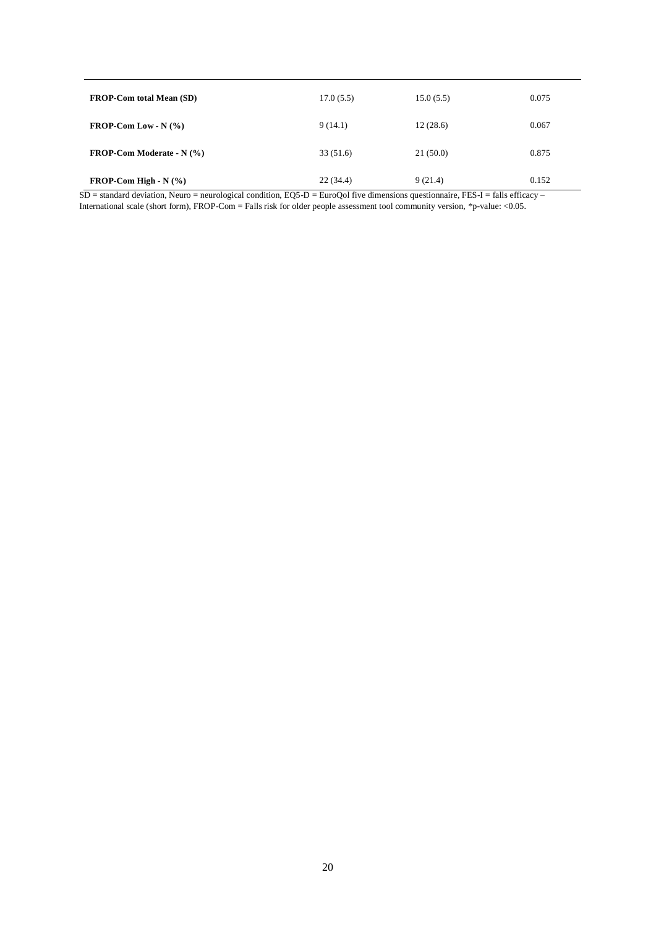| <b>FROP-Com total Mean (SD)</b>                              | 17.0(5.5) | 15.0(5.5)         | 0.075 |
|--------------------------------------------------------------|-----------|-------------------|-------|
| FROP-Com Low - $N$ (%)                                       | 9(14.1)   | 12(28.6)          | 0.067 |
| FROP-Com Moderate - $N$ (%)                                  | 33(51.6)  | 21(50.0)          | 0.875 |
| FROP-Com High - $N$ (%)<br>.<br>.<br>_ _ _ _ _ _ _ _<br>____ | 22(34.4)  | 9(21.4)<br>______ | 0.152 |

SD = standard deviation, Neuro = neurological condition, EQ5-D = EuroQol five dimensions questionnaire, FES-I = falls efficacy – International scale (short form), FROP-Com = Falls risk for older people assessment tool community version, \*p-value: <0.05.